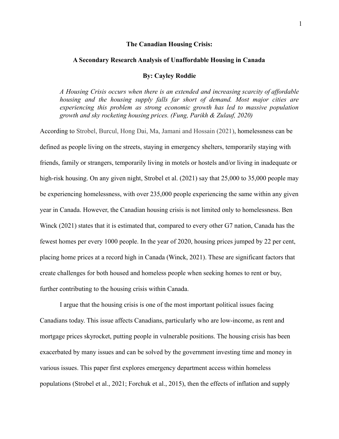## **The Canadian Housing Crisis:**

#### **A Secondary Research Analysis of Unaffordable Housing in Canada**

## **By: Cayley Roddie**

*A Housing Crisis occurs when there is an extended and increasing scarcity of affordable housing and the housing supply falls far short of demand. Most major cities are experiencing this problem as strong economic growth has led to massive population growth and sky rocketing housing prices. (Fung, Parikh & Zulauf, 2020)*

According to Strobel, Burcul, Hong Dai, Ma, Jamani and Hossain (2021), homelessness can be defined as people living on the streets, staying in emergency shelters, temporarily staying with friends, family or strangers, temporarily living in motels or hostels and/or living in inadequate or high-risk housing. On any given night, Strobel et al. (2021) say that 25,000 to 35,000 people may be experiencing homelessness, with over 235,000 people experiencing the same within any given year in Canada. However, the Canadian housing crisis is not limited only to homelessness. Ben Winck (2021) states that it is estimated that, compared to every other G7 nation, Canada has the fewest homes per every 1000 people. In the year of 2020, housing prices jumped by 22 per cent, placing home prices at a record high in Canada (Winck, 2021). These are significant factors that create challenges for both housed and homeless people when seeking homes to rent or buy, further contributing to the housing crisis within Canada.

I argue that the housing crisis is one of the most important political issues facing Canadians today. This issue affects Canadians, particularly who are low-income, as rent and mortgage prices skyrocket, putting people in vulnerable positions. The housing crisis has been exacerbated by many issues and can be solved by the government investing time and money in various issues. This paper first explores emergency department access within homeless populations (Strobel et al., 2021; Forchuk et al., 2015), then the effects of inflation and supply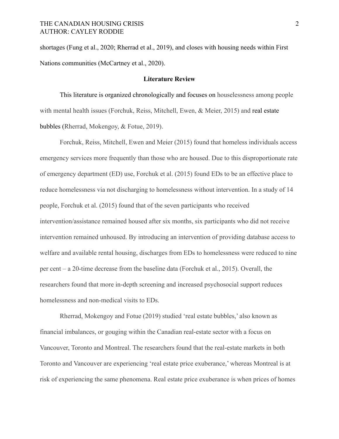shortages (Fung et al., 2020; Rherrad et al., 2019), and closes with housing needs within First Nations communities (McCartney et al., 2020).

## **Literature Review**

This literature is organized chronologically and focuses on houselessness among people with mental health issues (Forchuk, Reiss, Mitchell, Ewen, & Meier, 2015) and real estate bubbles (Rherrad, Mokengoy, & Fotue, 2019).

Forchuk, Reiss, Mitchell, Ewen and Meier (2015) found that homeless individuals access emergency services more frequently than those who are housed. Due to this disproportionate rate of emergency department (ED) use, Forchuk et al. (2015) found EDs to be an effective place to reduce homelessness via not discharging to homelessness without intervention. In a study of 14 people, Forchuk et al. (2015) found that of the seven participants who received intervention/assistance remained housed after six months, six participants who did not receive intervention remained unhoused. By introducing an intervention of providing database access to welfare and available rental housing, discharges from EDs to homelessness were reduced to nine per cent – a 20-time decrease from the baseline data (Forchuk et al., 2015). Overall, the researchers found that more in-depth screening and increased psychosocial support reduces homelessness and non-medical visits to EDs.

Rherrad, Mokengoy and Fotue (2019) studied 'real estate bubbles,' also known as financial imbalances, or gouging within the Canadian real-estate sector with a focus on Vancouver, Toronto and Montreal. The researchers found that the real-estate markets in both Toronto and Vancouver are experiencing 'real estate price exuberance,' whereas Montreal is at risk of experiencing the same phenomena. Real estate price exuberance is when prices of homes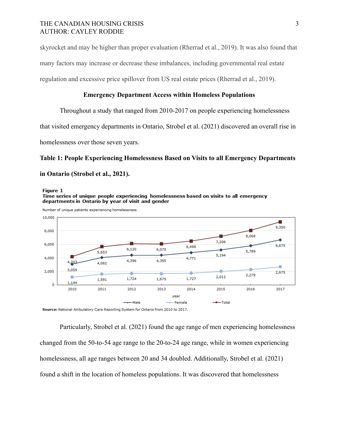## THE CANADIAN HOUSING CRISIS 3 AUTHOR: CAYLEY RODDIE

skyrocket and may be higher than proper evaluation (Rherrad et al., 2019). It was also found that many factors may increase or decrease these imbalances, including governmental real estate regulation and excessive price spillover from US real estate prices (Rherrad et al., 2019).

# **Emergency Department Access within Homeless Populations**

Throughout a study that ranged from 2010-2017 on people experiencing homelessness

that visited emergency departments in Ontario, Strobel et al. (2021) discovered an overall rise in

homelessness over those seven years.

departments in Ontario by year of visit and gender

**Figure 1** 

# **Table 1: People Experiencing Homelessness Based on Visits to all Emergency Departments in Ontario (Strobel et al., 2021).**

Time series of unique people experiencing homelessness based on visits to all emergency



Source: National Ambulatory Care Reporting System for Ontario from 2010 to 2017.

Particularly, Strobel et al. (2021) found the age range of men experiencing homelessness changed from the 50-to-54 age range to the 20-to-24 age range, while in women experiencing homelessness, all age ranges between 20 and 34 doubled. Additionally, Strobel et al. (2021) found a shift in the location of homeless populations. It was discovered that homelessness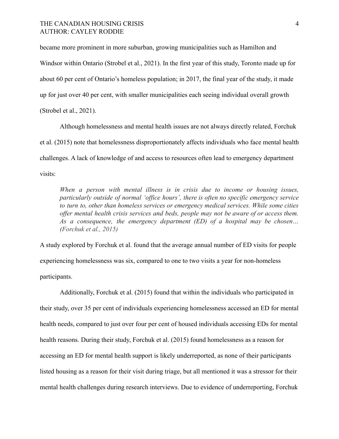# THE CANADIAN HOUSING CRISIS 4 AUTHOR: CAYLEY RODDIE

became more prominent in more suburban, growing municipalities such as Hamilton and Windsor within Ontario (Strobel et al., 2021). In the first year of this study, Toronto made up for about 60 per cent of Ontario's homeless population; in 2017, the final year of the study, it made up for just over 40 per cent, with smaller municipalities each seeing individual overall growth (Strobel et al., 2021).

Although homelessness and mental health issues are not always directly related, Forchuk et al. (2015) note that homelessness disproportionately affects individuals who face mental health challenges. A lack of knowledge of and access to resources often lead to emergency department visits:

*When a person with mental illness is in crisis due to income or housing issues, particularly outside of normal 'office hours', there is often no specific emergency service to turn to, other than homeless services or emergency medical services. While some cities offer mental health crisis services and beds, people may not be aware of or access them. As a consequence, the emergency department (ED) of a hospital may be chosen… (Forchuk et al., 2015)*

A study explored by Forchuk et al. found that the average annual number of ED visits for people experiencing homelessness was six, compared to one to two visits a year for non-homeless participants.

Additionally, Forchuk et al. (2015) found that within the individuals who participated in their study, over 35 per cent of individuals experiencing homelessness accessed an ED for mental health needs, compared to just over four per cent of housed individuals accessing EDs for mental health reasons. During their study, Forchuk et al. (2015) found homelessness as a reason for accessing an ED for mental health support is likely underreported, as none of their participants listed housing as a reason for their visit during triage, but all mentioned it was a stressor for their mental health challenges during research interviews. Due to evidence of underreporting, Forchuk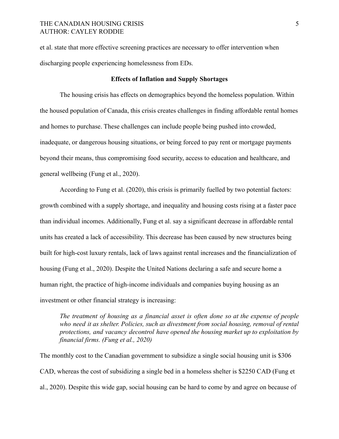et al. state that more effective screening practices are necessary to offer intervention when discharging people experiencing homelessness from EDs.

## **Effects of Inflation and Supply Shortages**

The housing crisis has effects on demographics beyond the homeless population. Within the housed population of Canada, this crisis creates challenges in finding affordable rental homes and homes to purchase. These challenges can include people being pushed into crowded, inadequate, or dangerous housing situations, or being forced to pay rent or mortgage payments beyond their means, thus compromising food security, access to education and healthcare, and general wellbeing (Fung et al., 2020).

According to Fung et al. (2020), this crisis is primarily fuelled by two potential factors: growth combined with a supply shortage, and inequality and housing costs rising at a faster pace than individual incomes. Additionally, Fung et al. say a significant decrease in affordable rental units has created a lack of accessibility. This decrease has been caused by new structures being built for high-cost luxury rentals, lack of laws against rental increases and the financialization of housing (Fung et al., 2020). Despite the United Nations declaring a safe and secure home a human right, the practice of high-income individuals and companies buying housing as an investment or other financial strategy is increasing:

*The treatment of housing as a financial asset is often done so at the expense of people who need it as shelter. Policies, such as divestment from social housing, removal of rental protections, and vacancy decontrol have opened the housing market up to exploitation by financial firms. (Fung et al., 2020)*

The monthly cost to the Canadian government to subsidize a single social housing unit is \$306 CAD, whereas the cost of subsidizing a single bed in a homeless shelter is \$2250 CAD (Fung et al., 2020). Despite this wide gap, social housing can be hard to come by and agree on because of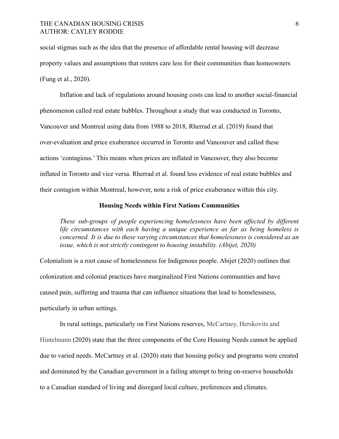social stigmas such as the idea that the presence of affordable rental housing will decrease property values and assumptions that renters care less for their communities than homeowners (Fung et al., 2020).

Inflation and lack of regulations around housing costs can lead to another social-financial phenomenon called real estate bubbles. Throughout a study that was conducted in Toronto, Vancouver and Montreal using data from 1988 to 2018, Rherrad et al. (2019) found that over-evaluation and price exuberance occurred in Toronto and Vancouver and called these actions 'contagious.' This means when prices are inflated in Vancouver, they also become inflated in Toronto and vice versa. Rherrad et al. found less evidence of real estate bubbles and their contagion within Montreal, however, note a risk of price exuberance within this city.

## **Housing Needs within First Nations Communities**

*These sub-groups of people experiencing homelessness have been affected by different life circumstances with each having a unique experience as far as being homeless is concerned. It is due to these varying circumstances that homelessness is considered as an issue, which is not strictly contingent to housing instability. (Abijet, 2020)*

Colonialism is a root cause of homelessness for Indigenous people. Abijet (2020) outlines that colonization and colonial practices have marginalized First Nations communities and have caused pain, suffering and trauma that can influence situations that lead to homelessness, particularly in urban settings.

In rural settings, particularly on First Nations reserves, McCartney, Herskovits and Hintelmann (2020) state that the three components of the Core Housing Needs cannot be applied due to varied needs. McCartney et al. (2020) state that housing policy and programs were created and dominated by the Canadian government in a failing attempt to bring on-reserve households to a Canadian standard of living and disregard local culture, preferences and climates.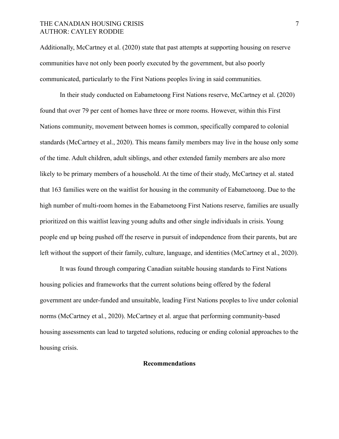# THE CANADIAN HOUSING CRISIS 7 AUTHOR: CAYLEY RODDIE

Additionally, McCartney et al. (2020) state that past attempts at supporting housing on reserve communities have not only been poorly executed by the government, but also poorly communicated, particularly to the First Nations peoples living in said communities.

In their study conducted on Eabametoong First Nations reserve, McCartney et al. (2020) found that over 79 per cent of homes have three or more rooms. However, within this First Nations community, movement between homes is common, specifically compared to colonial standards (McCartney et al., 2020). This means family members may live in the house only some of the time. Adult children, adult siblings, and other extended family members are also more likely to be primary members of a household. At the time of their study, McCartney et al. stated that 163 families were on the waitlist for housing in the community of Eabametoong. Due to the high number of multi-room homes in the Eabametoong First Nations reserve, families are usually prioritized on this waitlist leaving young adults and other single individuals in crisis. Young people end up being pushed off the reserve in pursuit of independence from their parents, but are left without the support of their family, culture, language, and identities (McCartney et al., 2020).

It was found through comparing Canadian suitable housing standards to First Nations housing policies and frameworks that the current solutions being offered by the federal government are under-funded and unsuitable, leading First Nations peoples to live under colonial norms (McCartney et al., 2020). McCartney et al. argue that performing community-based housing assessments can lead to targeted solutions, reducing or ending colonial approaches to the housing crisis.

## **Recommendations**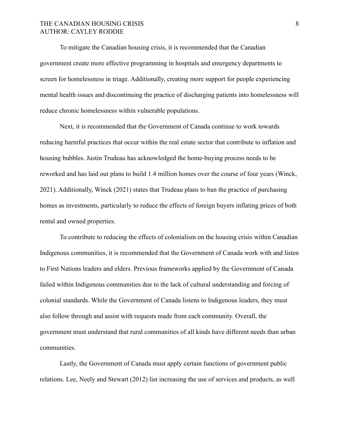# THE CANADIAN HOUSING CRISIS 8 AUTHOR: CAYLEY RODDIE

To mitigate the Canadian housing crisis, it is recommended that the Canadian government create more effective programming in hospitals and emergency departments to screen for homelessness in triage. Additionally, creating more support for people experiencing mental health issues and discontinuing the practice of discharging patients into homelessness will reduce chronic homelessness within vulnerable populations.

Next, it is recommended that the Government of Canada continue to work towards reducing harmful practices that occur within the real estate sector that contribute to inflation and housing bubbles. Justin Trudeau has acknowledged the home-buying process needs to be reworked and has laid out plans to build 1.4 million homes over the course of four years (Winck, 2021). Additionally, Winck (2021) states that Trudeau plans to ban the practice of purchasing homes as investments, particularly to reduce the effects of foreign buyers inflating prices of both rental and owned properties.

To contribute to reducing the effects of colonialism on the housing crisis within Canadian Indigenous communities, it is recommended that the Government of Canada work with and listen to First Nations leaders and elders. Previous frameworks applied by the Government of Canada failed within Indigenous communities due to the lack of cultural understanding and forcing of colonial standards. While the Government of Canada listens to Indigenous leaders, they must also follow through and assist with requests made from each community. Overall, the government must understand that rural communities of all kinds have different needs than urban communities.

Lastly, the Government of Canada must apply certain functions of government public relations. Lee, Neely and Stewart (2012) list increasing the use of services and products, as well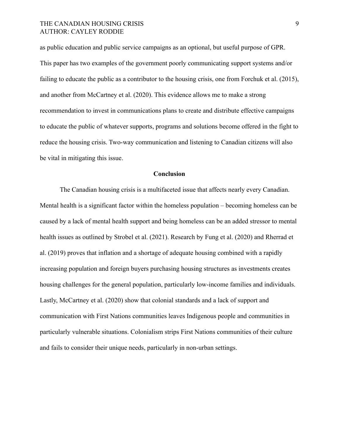# THE CANADIAN HOUSING CRISIS 9 AUTHOR: CAYLEY RODDIE

as public education and public service campaigns as an optional, but useful purpose of GPR. This paper has two examples of the government poorly communicating support systems and/or failing to educate the public as a contributor to the housing crisis, one from Forchuk et al. (2015), and another from McCartney et al. (2020). This evidence allows me to make a strong recommendation to invest in communications plans to create and distribute effective campaigns to educate the public of whatever supports, programs and solutions become offered in the fight to reduce the housing crisis. Two-way communication and listening to Canadian citizens will also be vital in mitigating this issue.

#### **Conclusion**

The Canadian housing crisis is a multifaceted issue that affects nearly every Canadian. Mental health is a significant factor within the homeless population – becoming homeless can be caused by a lack of mental health support and being homeless can be an added stressor to mental health issues as outlined by Strobel et al. (2021). Research by Fung et al. (2020) and Rherrad et al. (2019) proves that inflation and a shortage of adequate housing combined with a rapidly increasing population and foreign buyers purchasing housing structures as investments creates housing challenges for the general population, particularly low-income families and individuals. Lastly, McCartney et al. (2020) show that colonial standards and a lack of support and communication with First Nations communities leaves Indigenous people and communities in particularly vulnerable situations. Colonialism strips First Nations communities of their culture and fails to consider their unique needs, particularly in non-urban settings.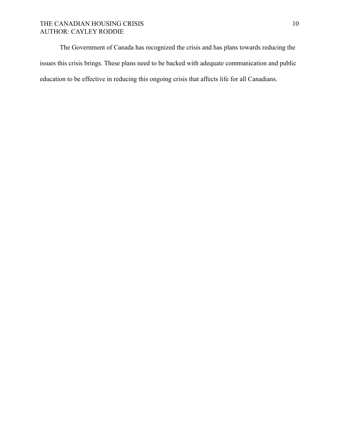# THE CANADIAN HOUSING CRISIS 10 AUTHOR: CAYLEY RODDIE

The Government of Canada has recognized the crisis and has plans towards reducing the issues this crisis brings. These plans need to be backed with adequate communication and public education to be effective in reducing this ongoing crisis that affects life for all Canadians.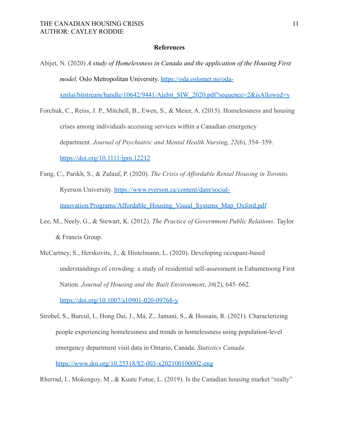## **References**

Abijet, N. (2020) *A study of Homelessness in Canada and the application of the Housing First model.* Oslo Metropolitan University. <https://oda.oslomet.no/oda->

[xmlui/bitstream/handle/10642/9441/Ajebit\\_SIW\\_2020.pdf?sequence=2&isAllowed=y](https://oda.oslomet.no/oda-xmlui/bitstream/handle/10642/9441/Ajebit_SIW_2020.pdf?sequence=2&isAllowed=y)

- Forchuk, C., Reiss, J. P., Mitchell, B., Ewen, S., & Meier, A. (2015). Homelessness and housing crises among individuals accessing services within a Canadian emergency department. *Journal of Psychiatric and Mental Health Nursing*, *22*(6), 354–359. [https://doi.org/10.1111/jpm.12212](https://onlinelibrary-wiley-com.libproxy.mtroyal.ca/doi/10.1111/jpm.12212)
- Fung, C., Parikh, S., & Zulauf, P. (2020). *The Crisis of Affordable Rental Housing in Toronto.* Ryerson University. [https://www.ryerson.ca/content/dam/social](https://www.ryerson.ca/content/dam/social-)[innovation/Programs/Affordable\\_Housing\\_Visual\\_Systems\\_Map\\_Oxford.pdf](https://www.ryerson.ca/content/dam/social-innovation/Programs/Affordable_Housing_Visual_Systems_Map_Oxford.pdf)
- Lee, M., Neely, G., & Stewart, K. (2012). *The Practice of Government Public Relations.* Taylor & Francis Group.
- McCartney, S., Herskovits, J., & Hintelmann, L. (2020). Developing occupant-based understandings of crowding: a study of residential self-assessment in Eabametoong First Nation. *Journal of Housing and the Built Environment*, *36*(2), 645–662. [https://doi.org/10.1007/s10901-0](https://doi.org/10.1007/s10901-)20-09768-y
- Strobel, S., Burcul, I., Hong Dai, J., Ma, Z., Jamani, S., & Hossain, R. (2021). Characterizing people experiencing homelessness and trends in homelessness using population-level emergency department visit data in Ontario, Canada. *Statistics Canada.* <https://www.doi.org/10.25318/82-003-x202100100002-eng>

Rherrad, I., Mokengoy, M., & Kuate Fotue, L. (2019). Is the Canadian housing market "really"